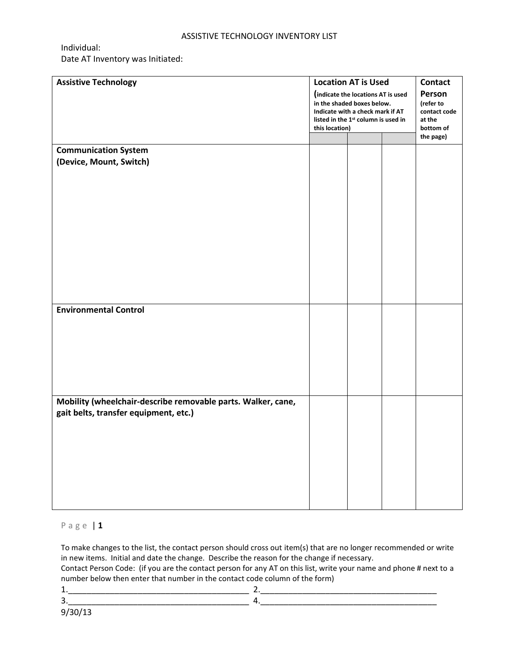## ASSISTIVE TECHNOLOGY INVENTORY LIST

Individual:

Date AT Inventory was Initiated:

| <b>Assistive Technology</b>                                  | <b>Location AT is Used</b>                                                                                        |  |                                     | <b>Contact</b>         |  |
|--------------------------------------------------------------|-------------------------------------------------------------------------------------------------------------------|--|-------------------------------------|------------------------|--|
|                                                              | (indicate the locations AT is used                                                                                |  |                                     | Person                 |  |
|                                                              | in the shaded boxes below.<br>Indicate with a check mark if AT<br>listed in the 1 <sup>st</sup> column is used in |  | (refer to<br>contact code<br>at the |                        |  |
|                                                              |                                                                                                                   |  |                                     |                        |  |
|                                                              |                                                                                                                   |  |                                     |                        |  |
|                                                              | this location)                                                                                                    |  |                                     | bottom of<br>the page) |  |
|                                                              |                                                                                                                   |  |                                     |                        |  |
| <b>Communication System</b>                                  |                                                                                                                   |  |                                     |                        |  |
| (Device, Mount, Switch)                                      |                                                                                                                   |  |                                     |                        |  |
|                                                              |                                                                                                                   |  |                                     |                        |  |
|                                                              |                                                                                                                   |  |                                     |                        |  |
|                                                              |                                                                                                                   |  |                                     |                        |  |
|                                                              |                                                                                                                   |  |                                     |                        |  |
|                                                              |                                                                                                                   |  |                                     |                        |  |
|                                                              |                                                                                                                   |  |                                     |                        |  |
|                                                              |                                                                                                                   |  |                                     |                        |  |
|                                                              |                                                                                                                   |  |                                     |                        |  |
|                                                              |                                                                                                                   |  |                                     |                        |  |
|                                                              |                                                                                                                   |  |                                     |                        |  |
|                                                              |                                                                                                                   |  |                                     |                        |  |
|                                                              |                                                                                                                   |  |                                     |                        |  |
|                                                              |                                                                                                                   |  |                                     |                        |  |
| <b>Environmental Control</b>                                 |                                                                                                                   |  |                                     |                        |  |
|                                                              |                                                                                                                   |  |                                     |                        |  |
|                                                              |                                                                                                                   |  |                                     |                        |  |
|                                                              |                                                                                                                   |  |                                     |                        |  |
|                                                              |                                                                                                                   |  |                                     |                        |  |
|                                                              |                                                                                                                   |  |                                     |                        |  |
|                                                              |                                                                                                                   |  |                                     |                        |  |
|                                                              |                                                                                                                   |  |                                     |                        |  |
|                                                              |                                                                                                                   |  |                                     |                        |  |
| Mobility (wheelchair-describe removable parts. Walker, cane, |                                                                                                                   |  |                                     |                        |  |
| gait belts, transfer equipment, etc.)                        |                                                                                                                   |  |                                     |                        |  |
|                                                              |                                                                                                                   |  |                                     |                        |  |
|                                                              |                                                                                                                   |  |                                     |                        |  |
|                                                              |                                                                                                                   |  |                                     |                        |  |
|                                                              |                                                                                                                   |  |                                     |                        |  |
|                                                              |                                                                                                                   |  |                                     |                        |  |
|                                                              |                                                                                                                   |  |                                     |                        |  |
|                                                              |                                                                                                                   |  |                                     |                        |  |
|                                                              |                                                                                                                   |  |                                     |                        |  |
|                                                              |                                                                                                                   |  |                                     |                        |  |
|                                                              |                                                                                                                   |  |                                     |                        |  |

## P a g e | **1**

To make changes to the list, the contact person should cross out item(s) that are no longer recommended or write in new items. Initial and date the change. Describe the reason for the change if necessary. Contact Person Code: (if you are the contact person for any AT on this list, write your name and phone # next to a number below then enter that number in the contact code column of the form)

9/30/13